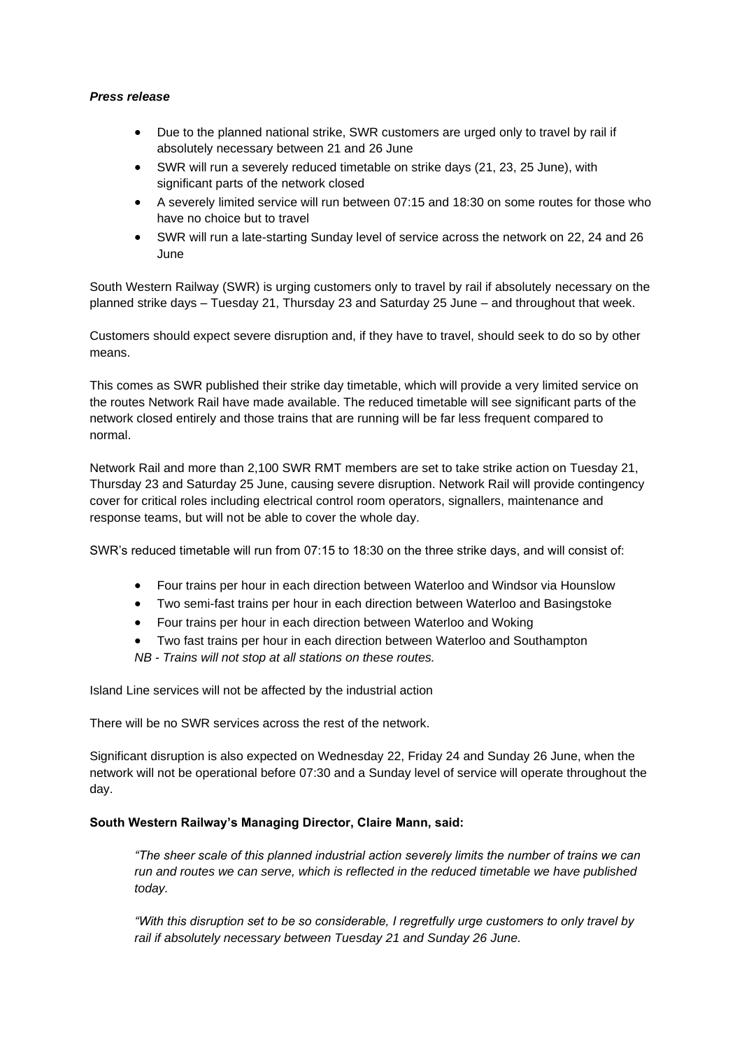## *Press release*

- Due to the planned national strike, SWR customers are urged only to travel by rail if absolutely necessary between 21 and 26 June
- SWR will run a severely reduced timetable on strike days (21, 23, 25 June), with significant parts of the network closed
- A severely limited service will run between 07:15 and 18:30 on some routes for those who have no choice but to travel
- SWR will run a late-starting Sunday level of service across the network on 22, 24 and 26 June

South Western Railway (SWR) is urging customers only to travel by rail if absolutely necessary on the planned strike days – Tuesday 21, Thursday 23 and Saturday 25 June – and throughout that week.

Customers should expect severe disruption and, if they have to travel, should seek to do so by other means.

This comes as SWR published their strike day timetable, which will provide a very limited service on the routes Network Rail have made available. The reduced timetable will see significant parts of the network closed entirely and those trains that are running will be far less frequent compared to normal.

Network Rail and more than 2,100 SWR RMT members are set to take strike action on Tuesday 21, Thursday 23 and Saturday 25 June, causing severe disruption. Network Rail will provide contingency cover for critical roles including electrical control room operators, signallers, maintenance and response teams, but will not be able to cover the whole day.

SWR's reduced timetable will run from 07:15 to 18:30 on the three strike days, and will consist of:

- Four trains per hour in each direction between Waterloo and Windsor via Hounslow
- Two semi-fast trains per hour in each direction between Waterloo and Basingstoke
- Four trains per hour in each direction between Waterloo and Woking
- Two fast trains per hour in each direction between Waterloo and Southampton

*NB - Trains will not stop at all stations on these routes.*

Island Line services will not be affected by the industrial action

There will be no SWR services across the rest of the network.

Significant disruption is also expected on Wednesday 22, Friday 24 and Sunday 26 June, when the network will not be operational before 07:30 and a Sunday level of service will operate throughout the day.

## **South Western Railway's Managing Director, Claire Mann, said:**

*"The sheer scale of this planned industrial action severely limits the number of trains we can run and routes we can serve, which is reflected in the reduced timetable we have published today.* 

*"With this disruption set to be so considerable, I regretfully urge customers to only travel by rail if absolutely necessary between Tuesday 21 and Sunday 26 June.*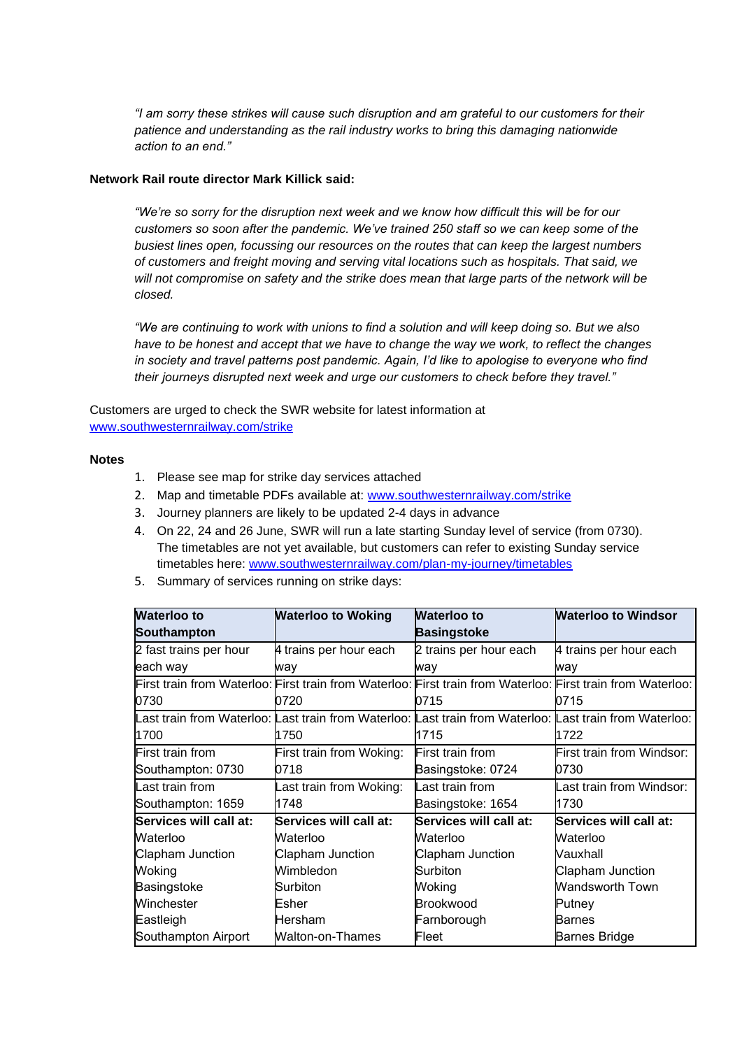*"I am sorry these strikes will cause such disruption and am grateful to our customers for their patience and understanding as the rail industry works to bring this damaging nationwide action to an end."*

## **Network Rail route director Mark Killick said:**

*"We're so sorry for the disruption next week and we know how difficult this will be for our customers so soon after the pandemic. We've trained 250 staff so we can keep some of the busiest lines open, focussing our resources on the routes that can keep the largest numbers of customers and freight moving and serving vital locations such as hospitals. That said, we will not compromise on safety and the strike does mean that large parts of the network will be closed.*

*"We are continuing to work with unions to find a solution and will keep doing so. But we also have to be honest and accept that we have to change the way we work, to reflect the changes in society and travel patterns post pandemic. Again, I'd like to apologise to everyone who find their journeys disrupted next week and urge our customers to check before they travel."*

Customers are urged to check the SWR website for latest information at [www.southwesternrailway.com/strike](http://www.southwesternrailway.com/strike) 

## **Notes**

- 1. Please see map for strike day services attached
- 2. Map and timetable PDFs available at: [www.southwesternrailway.com/strike](http://www.southwesternrailway.com/strike)
- 3. Journey planners are likely to be updated 2-4 days in advance
- 4. On 22, 24 and 26 June, SWR will run a late starting Sunday level of service (from 0730). The timetables are not yet available, but customers can refer to existing Sunday service timetables here: [www.southwesternrailway.com/plan-my-journey/timetables](http://www.southwesternrailway.com/plan-my-journey/timetables)
- 5. Summary of services running on strike days:

| <b>Waterloo to</b><br>Southampton | <b>Waterloo to Woking</b> | <b>Waterloo to</b><br><b>Basingstoke</b>                                                                    | <b>Waterloo to Windsor</b> |
|-----------------------------------|---------------------------|-------------------------------------------------------------------------------------------------------------|----------------------------|
| 2 fast trains per hour            | 4 trains per hour each    | 2 trains per hour each                                                                                      | 4 trains per hour each     |
| each way                          | way                       | way                                                                                                         | wav                        |
|                                   |                           | First train from Waterloo: First train from Waterloo: First train from Waterloo: First train from Waterloo: |                            |
| 0730                              | 0720                      | 0715                                                                                                        | 0715                       |
|                                   |                           | Last train from Waterloo: Last train from Waterloo: Last train from Waterloo: Last train from Waterloo:     |                            |
| 1700                              | 1750                      | 1715                                                                                                        | 1722                       |
| First train from                  | First train from Woking:  | First train from                                                                                            | First train from Windsor:  |
| Southampton: 0730                 | 0718                      | Basingstoke: 0724                                                                                           | 0730                       |
| Last train from                   | ast train from Woking:    | Last train from                                                                                             | ast train from Windsor:    |
| Southampton: 1659                 | 1748                      | Basingstoke: 1654                                                                                           | 1730                       |
| Services will call at:            | Services will call at:    | Services will call at:                                                                                      | Services will call at:     |
| Waterloo                          | Waterloo                  | Waterloo                                                                                                    | Waterloo                   |
| Clapham Junction                  | Clapham Junction          | Clapham Junction                                                                                            | Vauxhall                   |
| Woking                            | Wimbledon                 | Surbiton                                                                                                    | Clapham Junction           |
| Basingstoke                       | Surbiton                  | Woking                                                                                                      | Wandsworth Town            |
| Winchester                        | Esher                     | <b>Brookwood</b>                                                                                            | Putney                     |
| Eastleigh                         | Hersham                   | Farnborough                                                                                                 | Barnes                     |
| Southampton Airport               | Walton-on-Thames          | Fleet                                                                                                       | Barnes Bridge              |